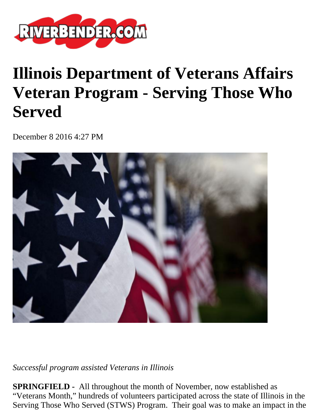

## **Illinois Department of Veterans Affairs Veteran Program - Serving Those Who Served**

December 8 2016 4:27 PM



*Successful program assisted Veterans in Illinois* 

**SPRINGFIELD -** All throughout the month of November, now established as "Veterans Month," hundreds of volunteers participated across the state of Illinois in the Serving Those Who Served (STWS) Program. Their goal was to make an impact in the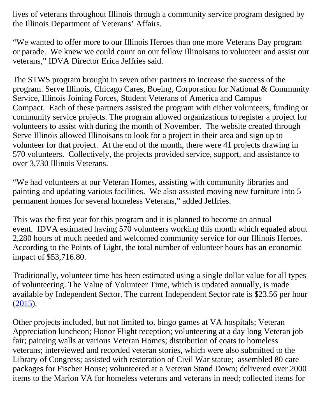lives of veterans throughout Illinois through a community service program designed by the Illinois Department of Veterans' Affairs.

"We wanted to offer more to our Illinois Heroes than one more Veterans Day program or parade. We knew we could count on our fellow Illinoisans to volunteer and assist our veterans," IDVA Director Erica Jeffries said.

The STWS program brought in seven other partners to increase the success of the program. Serve Illinois, Chicago Cares, Boeing, Corporation for National & Community Service, Illinois Joining Forces, Student Veterans of America and Campus Compact. Each of these partners assisted the program with either volunteers, funding or community service projects. The program allowed organizations to register a project for volunteers to assist with during the month of November. The website created through Serve Illinois allowed Illinoisans to look for a project in their area and sign up to volunteer for that project. At the end of the month, there were 41 projects drawing in 570 volunteers. Collectively, the projects provided service, support, and assistance to over 3,730 Illinois Veterans.

"We had volunteers at our Veteran Homes, assisting with community libraries and painting and updating various facilities. We also assisted moving new furniture into 5 permanent homes for several homeless Veterans," added Jeffries.

This was the first year for this program and it is planned to become an annual event. IDVA estimated having 570 volunteers working this month which equaled about 2,280 hours of much needed and welcomed community service for our Illinois Heroes. According to the Points of Light, the total number of volunteer hours has an economic impact of \$53,716.80.

Traditionally, volunteer time has been estimated using a single dollar value for all types of volunteering. The Value of Volunteer Time, which is updated annually, is made available by Independent Sector. The current Independent Sector rate is \$23.56 per hour  $(2015).$  $(2015).$ 

Other projects included, but not limited to, bingo games at VA hospitals; Veteran Appreciation luncheon; Honor Flight reception; volunteering at a day long Veteran job fair; painting walls at various Veteran Homes; distribution of coats to homeless veterans; interviewed and recorded veteran stories, which were also submitted to the Library of Congress; assisted with restoration of Civil War statue; assembled 80 care packages for Fischer House; volunteered at a Veteran Stand Down; delivered over 2000 items to the Marion VA for homeless veterans and veterans in need; collected items for